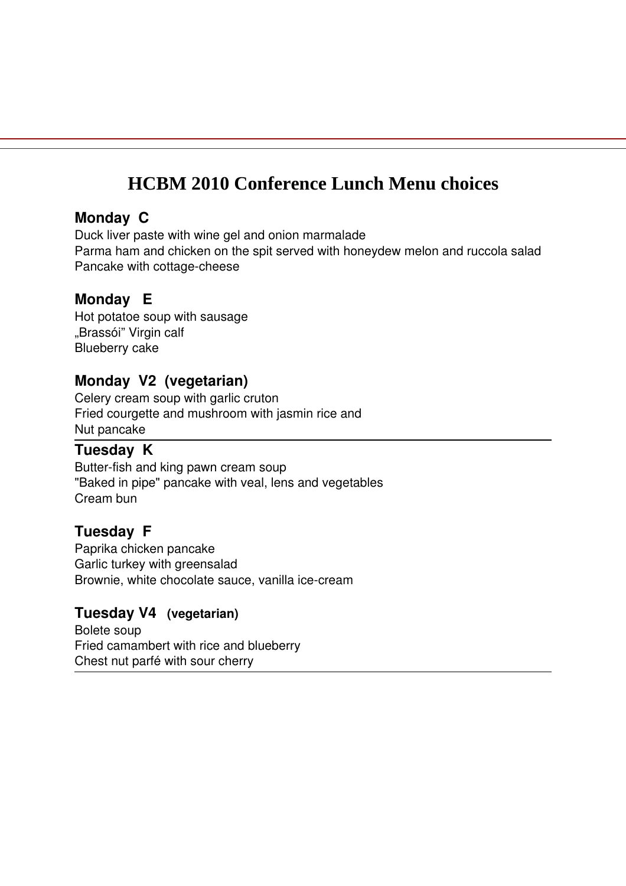# **HCBM 2010 Conference Lunch Menu choices**

#### **Monday C**

Duck liver paste with wine gel and onion marmalade Parma ham and chicken on the spit served with honeydew melon and ruccola salad Pancake with cottage-cheese

## **Monday E**

Hot potatoe soup with sausage "Brassói" Virgin calf Blueberry cake

## **Monday V2 (vegetarian)**

Celery cream soup with garlic cruton Fried courgette and mushroom with jasmin rice and Nut pancake

## **Tuesday K**

Butter-fish and king pawn cream soup "Baked in pipe" pancake with veal, lens and vegetables Cream bun

## **Tuesday F**

Paprika chicken pancake Garlic turkey with greensalad Brownie, white chocolate sauce, vanilla ice-cream

## **Tuesday V4 (vegetarian)**

Bolete soup Fried camambert with rice and blueberry Chest nut parfé with sour cherry